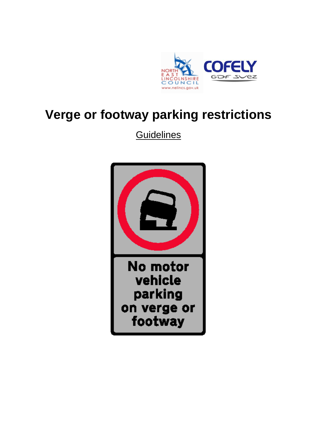

# **Verge or footway parking restrictions**

**Guidelines** 

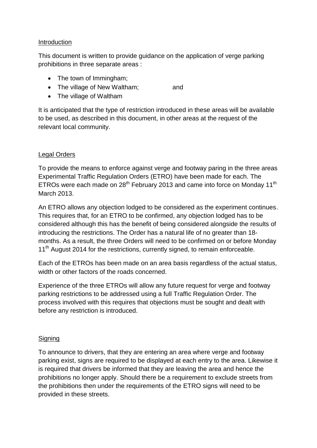#### Introduction

This document is written to provide guidance on the application of verge parking prohibitions in three separate areas :

- The town of Immingham;
- The village of New Waltham: and
- The village of Waltham

It is anticipated that the type of restriction introduced in these areas will be available to be used, as described in this document, in other areas at the request of the relevant local community.

#### Legal Orders

To provide the means to enforce against verge and footway paring in the three areas Experimental Traffic Regulation Orders (ETRO) have been made for each. The ETROs were each made on  $28<sup>th</sup>$  February 2013 and came into force on Monday 11<sup>th</sup> March 2013.

An ETRO allows any objection lodged to be considered as the experiment continues. This requires that, for an ETRO to be confirmed, any objection lodged has to be considered although this has the benefit of being considered alongside the results of introducing the restrictions. The Order has a natural life of no greater than 18 months. As a result, the three Orders will need to be confirmed on or before Monday 11<sup>th</sup> August 2014 for the restrictions, currently signed, to remain enforceable.

Each of the ETROs has been made on an area basis regardless of the actual status, width or other factors of the roads concerned.

Experience of the three ETROs will allow any future request for verge and footway parking restrictions to be addressed using a full Traffic Regulation Order. The process involved with this requires that objections must be sought and dealt with before any restriction is introduced.

#### Signing

To announce to drivers, that they are entering an area where verge and footway parking exist, signs are required to be displayed at each entry to the area. Likewise it is required that drivers be informed that they are leaving the area and hence the prohibitions no longer apply. Should there be a requirement to exclude streets from the prohibitions then under the requirements of the ETRO signs will need to be provided in these streets.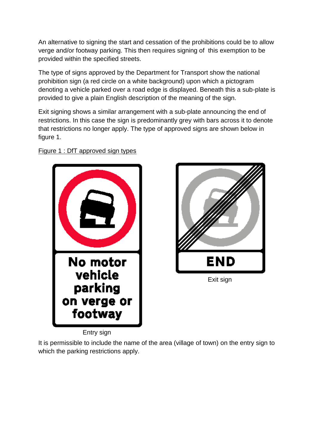An alternative to signing the start and cessation of the prohibitions could be to allow verge and/or footway parking. This then requires signing of this exemption to be provided within the specified streets.

The type of signs approved by the Department for Transport show the national prohibition sign (a red circle on a white background) upon which a pictogram denoting a vehicle parked over a road edge is displayed. Beneath this a sub-plate is provided to give a plain English description of the meaning of the sign.

Exit signing shows a similar arrangement with a sub-plate announcing the end of restrictions. In this case the sign is predominantly grey with bars across it to denote that restrictions no longer apply. The type of approved signs are shown below in figure 1.



#### Figure 1 : DfT approved sign types



Entry sign

It is permissible to include the name of the area (village of town) on the entry sign to which the parking restrictions apply.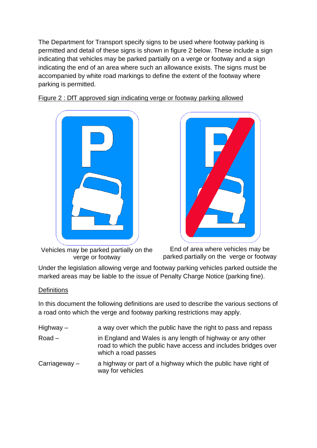The Department for Transport specify signs to be used where footway parking is permitted and detail of these signs is shown in figure 2 below. These include a sign indicating that vehicles may be parked partially on a verge or footway and a sign indicating the end of an area where such an allowance exists. The signs must be accompanied by white road markings to define the extent of the footway where parking is permitted.



Figure 2 : DfT approved sign indicating verge or footway parking allowed

Vehicles may be parked partially on the verge or footway



End of area where vehicles may be parked partially on the verge or footway

Under the legislation allowing verge and footway parking vehicles parked outside the marked areas may be liable to the issue of Penalty Charge Notice (parking fine).

#### **Definitions**

In this document the following definitions are used to describe the various sections of a road onto which the verge and footway parking restrictions may apply.

| Highway $-$     | a way over which the public have the right to pass and repass                                                                                       |
|-----------------|-----------------------------------------------------------------------------------------------------------------------------------------------------|
| $Road -$        | in England and Wales is any length of highway or any other<br>road to which the public have access and includes bridges over<br>which a road passes |
| Carriageway $-$ | a highway or part of a highway which the public have right of<br>way for vehicles                                                                   |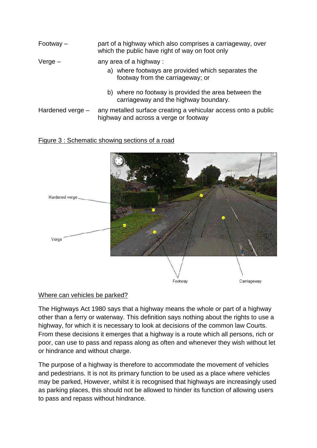- Footway part of a highway which also comprises a carriageway, over which the public have right of way on foot only
- $V$ erge  $a$ ny area of a highway :
	- a) where footways are provided which separates the footway from the carriageway; or
	- b) where no footway is provided the area between the carriageway and the highway boundary.
- Hardened verge any metalled surface creating a vehicular access onto a public highway and across a verge or footway

#### Figure 3 : Schematic showing sections of a road



#### Where can vehicles be parked?

The Highways Act 1980 says that a highway means the whole or part of a highway other than a ferry or waterway. This definition says nothing about the rights to use a highway, for which it is necessary to look at decisions of the common law Courts. From these decisions it emerges that a highway is a route which all persons, rich or poor, can use to pass and repass along as often and whenever they wish without let or hindrance and without charge.

The purpose of a highway is therefore to accommodate the movement of vehicles and pedestrians. It is not its primary function to be used as a place where vehicles may be parked, However, whilst it is recognised that highways are increasingly used as parking places, this should not be allowed to hinder its function of allowing users to pass and repass without hindrance.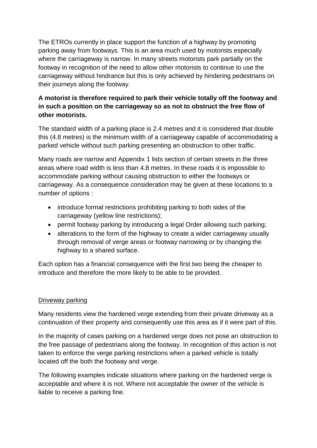The ETROs currently in place support the function of a highway by promoting parking away from footways. This is an area much used by motorists especially where the carriageway is narrow. In many streets motorists park partially on the footway in recognition of the need to allow other motorists to continue to use the carriageway without hindrance but this is only achieved by hindering pedestrians on their journeys along the footway.

# **A motorist is therefore required to park their vehicle totally off the footway and in such a position on the carriageway so as not to obstruct the free flow of other motorists.**

The standard width of a parking place is 2.4 metres and it is considered that double this (4.8 metres) is the minimum width of a carriageway capable of accommodating a parked vehicle without such parking presenting an obstruction to other traffic.

Many roads are narrow and Appendix 1 lists section of certain streets in the three areas where road width is less than 4.8 metres. In these roads it is impossible to accommodate parking without causing obstruction to either the footways or carriageway. As a consequence consideration may be given at these locations to a number of options :

- introduce formal restrictions prohibiting parking to both sides of the carriageway (yellow line restrictions);
- permit footway parking by introducing a legal Order allowing such parking;
- alterations to the form of the highway to create a wider carriageway usually through removal of verge areas or footway narrowing or by changing the highway to a shared surface.

Each option has a financial consequence with the first two being the cheaper to introduce and therefore the more likely to be able to be provided.

#### Driveway parking

Many residents view the hardened verge extending from their private driveway as a continuation of their property and consequently use this area as if it were part of this.

In the majority of cases parking on a hardened verge does not pose an obstruction to the free passage of pedestrians along the footway. In recognition of this action is not taken to enforce the verge parking restrictions when a parked vehicle is totally located off the both the footway and verge.

The following examples indicate situations where parking on the hardened verge is acceptable and where it is not. Where not acceptable the owner of the vehicle is liable to receive a parking fine.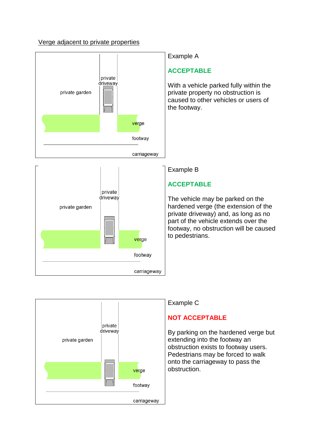#### Verge adjacent to private properties



private driveway private garden verge footway carriageway

#### Example A

# **ACCEPTABLE**

With a vehicle parked fully within the private property no obstruction is caused to other vehicles or users of the footway.

Example B

# **ACCEPTABLE**

The vehicle may be parked on the hardened verge (the extension of the private driveway) and, as long as no part of the vehicle extends over the footway, no obstruction will be caused to pedestrians.



#### Example C

## **NOT ACCEPTABLE**

By parking on the hardened verge but extending into the footway an obstruction exists to footway users. Pedestrians may be forced to walk onto the carriageway to pass the obstruction.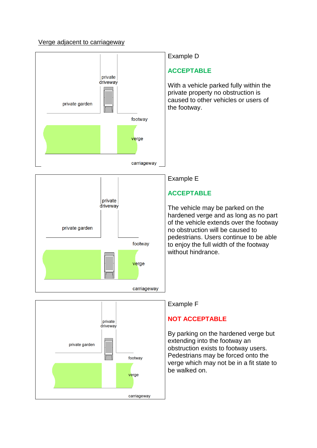#### Verge adjacent to carriageway





## **NOT ACCEPTABLE**

By parking on the hardened verge but extending into the footway an obstruction exists to footway users. Pedestrians may be forced onto the verge which may not be in a fit state to be walked on.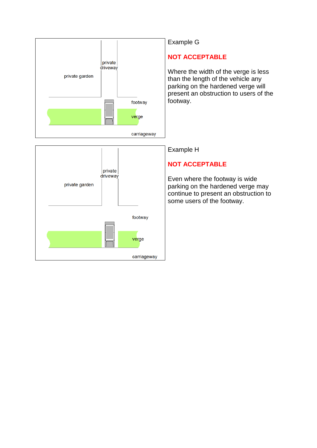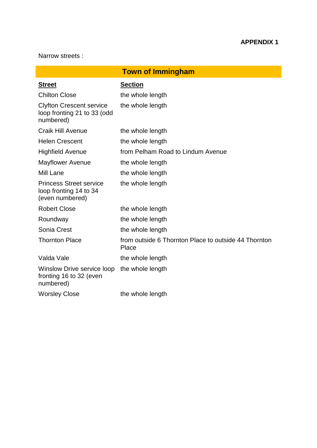Narrow streets :

| <b>Town of Immingham</b>                                                    |                                                               |  |  |
|-----------------------------------------------------------------------------|---------------------------------------------------------------|--|--|
| <b>Street</b>                                                               | <b>Section</b>                                                |  |  |
| <b>Chilton Close</b>                                                        | the whole length                                              |  |  |
| <b>Clyfton Crescent service</b><br>loop fronting 21 to 33 (odd<br>numbered) | the whole length                                              |  |  |
| <b>Craik Hill Avenue</b>                                                    | the whole length                                              |  |  |
| <b>Helen Crescent</b>                                                       | the whole length                                              |  |  |
| <b>Highfield Avenue</b>                                                     | from Pelham Road to Lindum Avenue                             |  |  |
| <b>Mayflower Avenue</b>                                                     | the whole length                                              |  |  |
| <b>Mill Lane</b>                                                            | the whole length                                              |  |  |
| <b>Princess Street service</b><br>loop fronting 14 to 34<br>(even numbered) | the whole length                                              |  |  |
| <b>Robert Close</b>                                                         | the whole length                                              |  |  |
| Roundway                                                                    | the whole length                                              |  |  |
| Sonia Crest                                                                 | the whole length                                              |  |  |
| <b>Thornton Place</b>                                                       | from outside 6 Thornton Place to outside 44 Thornton<br>Place |  |  |
| Valda Vale                                                                  | the whole length                                              |  |  |
| Winslow Drive service loop<br>fronting 16 to 32 (even<br>numbered)          | the whole length                                              |  |  |
| <b>Worsley Close</b>                                                        | the whole length                                              |  |  |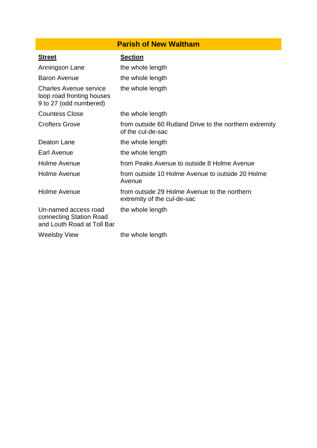# **Parish of New Waltham**

| <b>Street</b>                                                                 | <b>Section</b>                                                               |
|-------------------------------------------------------------------------------|------------------------------------------------------------------------------|
| Anningson Lane                                                                | the whole length                                                             |
| <b>Baron Avenue</b>                                                           | the whole length                                                             |
| Charles Avenue service<br>loop road fronting houses<br>9 to 27 (odd numbered) | the whole length                                                             |
| <b>Countess Close</b>                                                         | the whole length                                                             |
| <b>Crofters Grove</b>                                                         | from outside 60 Rutland Drive to the northern extremity<br>of the cul-de-sac |
| Deaton Lane                                                                   | the whole length                                                             |
| Earl Avenue                                                                   | the whole length                                                             |
| Holme Avenue                                                                  | from Peaks Avenue to outside 8 Holme Avenue                                  |
| Holme Avenue                                                                  | from outside 10 Holme Avenue to outside 20 Holme<br>Avenue                   |
| Holme Avenue                                                                  | from outside 29 Holme Avenue to the northern<br>extremity of the cul-de-sac  |
| Un-named access road<br>connecting Station Road<br>and Louth Road at Toll Bar | the whole length                                                             |
| Weelsby View                                                                  | the whole length                                                             |